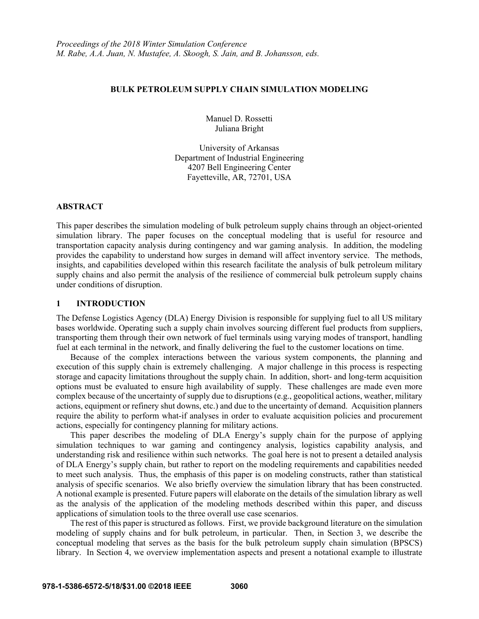#### **BULK PETROLEUM SUPPLY CHAIN SIMULATION MODELING**

Manuel D. Rossetti Juliana Bright

University of Arkansas Department of Industrial Engineering 4207 Bell Engineering Center Fayetteville, AR, 72701, USA

## **ABSTRACT**

This paper describes the simulation modeling of bulk petroleum supply chains through an object-oriented simulation library. The paper focuses on the conceptual modeling that is useful for resource and transportation capacity analysis during contingency and war gaming analysis. In addition, the modeling provides the capability to understand how surges in demand will affect inventory service. The methods, insights, and capabilities developed within this research facilitate the analysis of bulk petroleum military supply chains and also permit the analysis of the resilience of commercial bulk petroleum supply chains under conditions of disruption.

## **1 INTRODUCTION**

The Defense Logistics Agency (DLA) Energy Division is responsible for supplying fuel to all US military bases worldwide. Operating such a supply chain involves sourcing different fuel products from suppliers, transporting them through their own network of fuel terminals using varying modes of transport, handling fuel at each terminal in the network, and finally delivering the fuel to the customer locations on time.

Because of the complex interactions between the various system components, the planning and execution of this supply chain is extremely challenging. A major challenge in this process is respecting storage and capacity limitations throughout the supply chain. In addition, short- and long-term acquisition options must be evaluated to ensure high availability of supply. These challenges are made even more complex because of the uncertainty of supply due to disruptions (e.g., geopolitical actions, weather, military actions, equipment or refinery shut downs, etc.) and due to the uncertainty of demand. Acquisition planners require the ability to perform what-if analyses in order to evaluate acquisition policies and procurement actions, especially for contingency planning for military actions.

This paper describes the modeling of DLA Energy's supply chain for the purpose of applying simulation techniques to war gaming and contingency analysis, logistics capability analysis, and understanding risk and resilience within such networks. The goal here is not to present a detailed analysis of DLA Energy's supply chain, but rather to report on the modeling requirements and capabilities needed to meet such analysis. Thus, the emphasis of this paper is on modeling constructs, rather than statistical analysis of specific scenarios. We also briefly overview the simulation library that has been constructed. A notional example is presented. Future papers will elaborate on the details of the simulation library as well as the analysis of the application of the modeling methods described within this paper, and discuss applications of simulation tools to the three overall use case scenarios.

The rest of this paper is structured as follows. First, we provide background literature on the simulation modeling of supply chains and for bulk petroleum, in particular. Then, in Section 3, we describe the conceptual modeling that serves as the basis for the bulk petroleum supply chain simulation (BPSCS) library. In Section 4, we overview implementation aspects and present a notational example to illustrate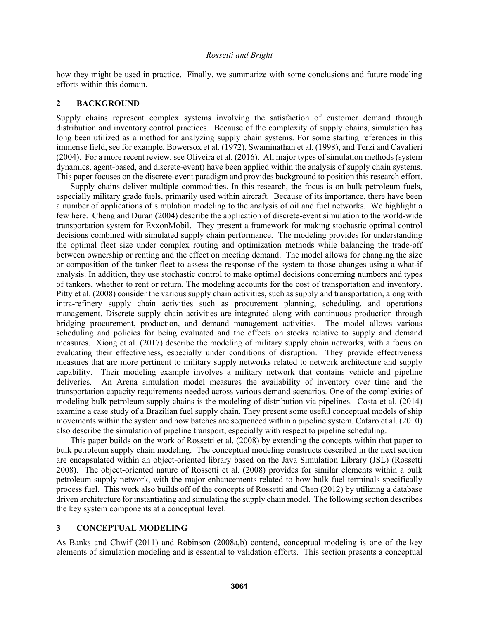how they might be used in practice. Finally, we summarize with some conclusions and future modeling efforts within this domain.

# **2 BACKGROUND**

Supply chains represent complex systems involving the satisfaction of customer demand through distribution and inventory control practices. Because of the complexity of supply chains, simulation has long been utilized as a method for analyzing supply chain systems. For some starting references in this immense field, see for example, Bowersox et al. (1972), Swaminathan et al. (1998), and Terzi and Cavalieri (2004). For a more recent review, see Oliveira et al. (2016). All major types of simulation methods (system dynamics, agent-based, and discrete-event) have been applied within the analysis of supply chain systems. This paper focuses on the discrete-event paradigm and provides background to position this research effort.

Supply chains deliver multiple commodities. In this research, the focus is on bulk petroleum fuels, especially military grade fuels, primarily used within aircraft. Because of its importance, there have been a number of applications of simulation modeling to the analysis of oil and fuel networks. We highlight a few here. Cheng and Duran (2004) describe the application of discrete-event simulation to the world-wide transportation system for ExxonMobil. They present a framework for making stochastic optimal control decisions combined with simulated supply chain performance. The modeling provides for understanding the optimal fleet size under complex routing and optimization methods while balancing the trade-off between ownership or renting and the effect on meeting demand. The model allows for changing the size or composition of the tanker fleet to assess the response of the system to those changes using a what-if analysis. In addition, they use stochastic control to make optimal decisions concerning numbers and types of tankers, whether to rent or return. The modeling accounts for the cost of transportation and inventory. Pitty et al. (2008) consider the various supply chain activities, such as supply and transportation, along with intra-refinery supply chain activities such as procurement planning, scheduling, and operations management. Discrete supply chain activities are integrated along with continuous production through bridging procurement, production, and demand management activities. The model allows various scheduling and policies for being evaluated and the effects on stocks relative to supply and demand measures. Xiong et al. (2017) describe the modeling of military supply chain networks, with a focus on evaluating their effectiveness, especially under conditions of disruption. They provide effectiveness measures that are more pertinent to military supply networks related to network architecture and supply capability. Their modeling example involves a military network that contains vehicle and pipeline deliveries. An Arena simulation model measures the availability of inventory over time and the transportation capacity requirements needed across various demand scenarios. One of the complexities of modeling bulk petroleum supply chains is the modeling of distribution via pipelines. Costa et al. (2014) examine a case study of a Brazilian fuel supply chain. They present some useful conceptual models of ship movements within the system and how batches are sequenced within a pipeline system. Cafaro et al. (2010) also describe the simulation of pipeline transport, especially with respect to pipeline scheduling.

This paper builds on the work of Rossetti et al. (2008) by extending the concepts within that paper to bulk petroleum supply chain modeling. The conceptual modeling constructs described in the next section are encapsulated within an object-oriented library based on the Java Simulation Library (JSL) (Rossetti 2008). The object-oriented nature of Rossetti et al. (2008) provides for similar elements within a bulk petroleum supply network, with the major enhancements related to how bulk fuel terminals specifically process fuel. This work also builds off of the concepts of Rossetti and Chen (2012) by utilizing a database driven architecture for instantiating and simulating the supply chain model. The following section describes the key system components at a conceptual level.

# **3 CONCEPTUAL MODELING**

As Banks and Chwif (2011) and Robinson (2008a,b) contend, conceptual modeling is one of the key elements of simulation modeling and is essential to validation efforts. This section presents a conceptual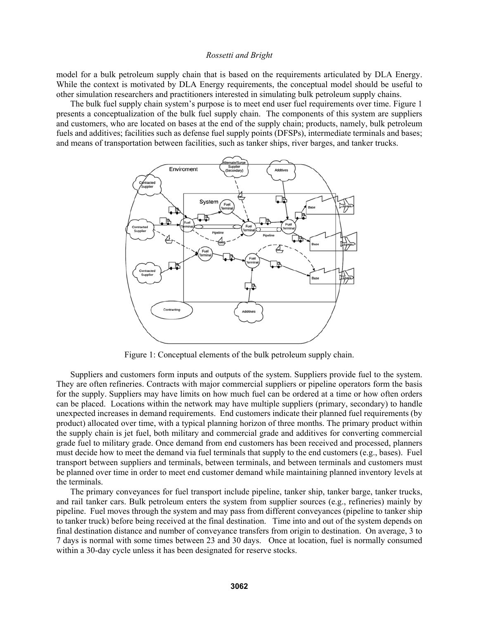model for a bulk petroleum supply chain that is based on the requirements articulated by DLA Energy. While the context is motivated by DLA Energy requirements, the conceptual model should be useful to other simulation researchers and practitioners interested in simulating bulk petroleum supply chains.

The bulk fuel supply chain system's purpose is to meet end user fuel requirements over time. Figure 1 presents a conceptualization of the bulk fuel supply chain. The components of this system are suppliers and customers, who are located on bases at the end of the supply chain; products, namely, bulk petroleum fuels and additives; facilities such as defense fuel supply points (DFSPs), intermediate terminals and bases; and means of transportation between facilities, such as tanker ships, river barges, and tanker trucks.



Figure 1: Conceptual elements of the bulk petroleum supply chain.

 Suppliers and customers form inputs and outputs of the system. Suppliers provide fuel to the system. They are often refineries. Contracts with major commercial suppliers or pipeline operators form the basis for the supply. Suppliers may have limits on how much fuel can be ordered at a time or how often orders can be placed. Locations within the network may have multiple suppliers (primary, secondary) to handle unexpected increases in demand requirements. End customers indicate their planned fuel requirements (by product) allocated over time, with a typical planning horizon of three months. The primary product within the supply chain is jet fuel, both military and commercial grade and additives for converting commercial grade fuel to military grade. Once demand from end customers has been received and processed, planners must decide how to meet the demand via fuel terminals that supply to the end customers (e.g., bases). Fuel transport between suppliers and terminals, between terminals, and between terminals and customers must be planned over time in order to meet end customer demand while maintaining planned inventory levels at the terminals.

The primary conveyances for fuel transport include pipeline, tanker ship, tanker barge, tanker trucks, and rail tanker cars. Bulk petroleum enters the system from supplier sources (e.g., refineries) mainly by pipeline. Fuel moves through the system and may pass from different conveyances (pipeline to tanker ship to tanker truck) before being received at the final destination. Time into and out of the system depends on final destination distance and number of conveyance transfers from origin to destination. On average, 3 to 7 days is normal with some times between 23 and 30 days. Once at location, fuel is normally consumed within a 30-day cycle unless it has been designated for reserve stocks.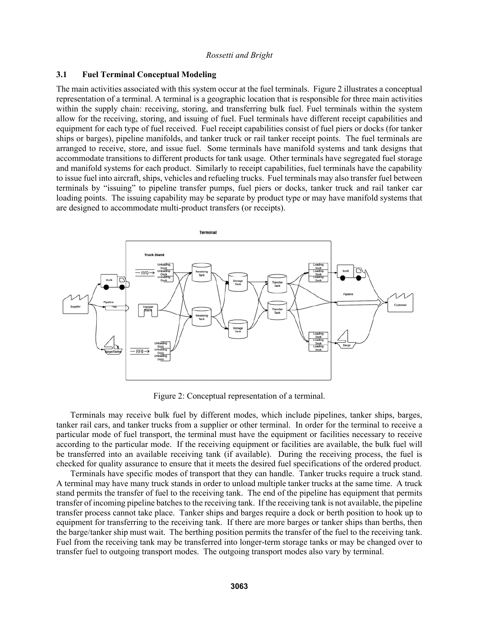## **3.1 Fuel Terminal Conceptual Modeling**

The main activities associated with this system occur at the fuel terminals. Figure 2 illustrates a conceptual representation of a terminal. A terminal is a geographic location that is responsible for three main activities within the supply chain: receiving, storing, and transferring bulk fuel. Fuel terminals within the system allow for the receiving, storing, and issuing of fuel. Fuel terminals have different receipt capabilities and equipment for each type of fuel received. Fuel receipt capabilities consist of fuel piers or docks (for tanker ships or barges), pipeline manifolds, and tanker truck or rail tanker receipt points. The fuel terminals are arranged to receive, store, and issue fuel. Some terminals have manifold systems and tank designs that accommodate transitions to different products for tank usage. Other terminals have segregated fuel storage and manifold systems for each product. Similarly to receipt capabilities, fuel terminals have the capability to issue fuel into aircraft, ships, vehicles and refueling trucks. Fuel terminals may also transfer fuel between terminals by "issuing" to pipeline transfer pumps, fuel piers or docks, tanker truck and rail tanker car loading points. The issuing capability may be separate by product type or may have manifold systems that are designed to accommodate multi-product transfers (or receipts).



Figure 2: Conceptual representation of a terminal.

Terminals may receive bulk fuel by different modes, which include pipelines, tanker ships, barges, tanker rail cars, and tanker trucks from a supplier or other terminal. In order for the terminal to receive a particular mode of fuel transport, the terminal must have the equipment or facilities necessary to receive according to the particular mode. If the receiving equipment or facilities are available, the bulk fuel will be transferred into an available receiving tank (if available). During the receiving process, the fuel is checked for quality assurance to ensure that it meets the desired fuel specifications of the ordered product.

Terminals have specific modes of transport that they can handle. Tanker trucks require a truck stand. A terminal may have many truck stands in order to unload multiple tanker trucks at the same time. A truck stand permits the transfer of fuel to the receiving tank. The end of the pipeline has equipment that permits transfer of incoming pipeline batches to the receiving tank. If the receiving tank is not available, the pipeline transfer process cannot take place. Tanker ships and barges require a dock or berth position to hook up to equipment for transferring to the receiving tank. If there are more barges or tanker ships than berths, then the barge/tanker ship must wait. The berthing position permits the transfer of the fuel to the receiving tank. Fuel from the receiving tank may be transferred into longer-term storage tanks or may be changed over to transfer fuel to outgoing transport modes. The outgoing transport modes also vary by terminal.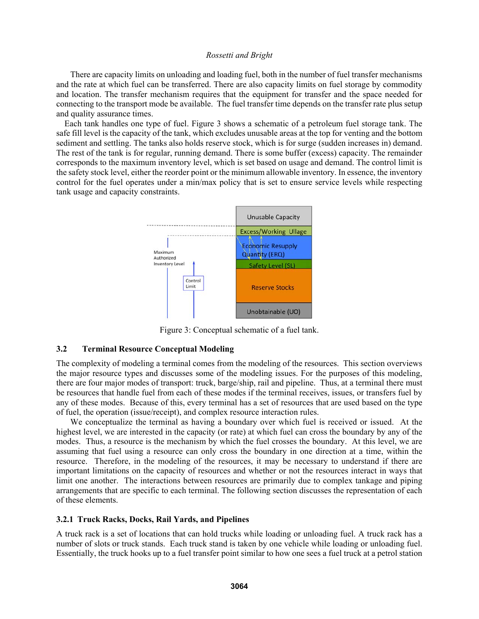There are capacity limits on unloading and loading fuel, both in the number of fuel transfer mechanisms and the rate at which fuel can be transferred. There are also capacity limits on fuel storage by commodity and location. The transfer mechanism requires that the equipment for transfer and the space needed for connecting to the transport mode be available. The fuel transfer time depends on the transfer rate plus setup and quality assurance times.

Each tank handles one type of fuel. Figure 3 shows a schematic of a petroleum fuel storage tank. The safe fill level is the capacity of the tank, which excludes unusable areas at the top for venting and the bottom sediment and settling. The tanks also holds reserve stock, which is for surge (sudden increases in) demand. The rest of the tank is for regular, running demand. There is some buffer (excess) capacity. The remainder corresponds to the maximum inventory level, which is set based on usage and demand. The control limit is the safety stock level, either the reorder point or the minimum allowable inventory. In essence, the inventory control for the fuel operates under a min/max policy that is set to ensure service levels while respecting tank usage and capacity constraints.



Figure 3: Conceptual schematic of a fuel tank.

## **3.2 Terminal Resource Conceptual Modeling**

The complexity of modeling a terminal comes from the modeling of the resources. This section overviews the major resource types and discusses some of the modeling issues. For the purposes of this modeling, there are four major modes of transport: truck, barge/ship, rail and pipeline. Thus, at a terminal there must be resources that handle fuel from each of these modes if the terminal receives, issues, or transfers fuel by any of these modes. Because of this, every terminal has a set of resources that are used based on the type of fuel, the operation (issue/receipt), and complex resource interaction rules.

We conceptualize the terminal as having a boundary over which fuel is received or issued. At the highest level, we are interested in the capacity (or rate) at which fuel can cross the boundary by any of the modes. Thus, a resource is the mechanism by which the fuel crosses the boundary. At this level, we are assuming that fuel using a resource can only cross the boundary in one direction at a time, within the resource. Therefore, in the modeling of the resources, it may be necessary to understand if there are important limitations on the capacity of resources and whether or not the resources interact in ways that limit one another. The interactions between resources are primarily due to complex tankage and piping arrangements that are specific to each terminal. The following section discusses the representation of each of these elements.

## **3.2.1 Truck Racks, Docks, Rail Yards, and Pipelines**

A truck rack is a set of locations that can hold trucks while loading or unloading fuel. A truck rack has a number of slots or truck stands. Each truck stand is taken by one vehicle while loading or unloading fuel. Essentially, the truck hooks up to a fuel transfer point similar to how one sees a fuel truck at a petrol station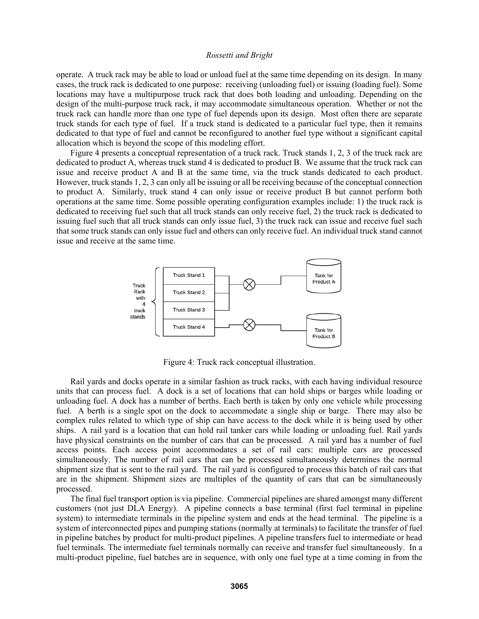operate. A truck rack may be able to load or unload fuel at the same time depending on its design. In many cases, the truck rack is dedicated to one purpose: receiving (unloading fuel) or issuing (loading fuel). Some locations may have a multipurpose truck rack that does both loading and unloading. Depending on the design of the multi-purpose truck rack, it may accommodate simultaneous operation. Whether or not the truck rack can handle more than one type of fuel depends upon its design. Most often there are separate truck stands for each type of fuel. If a truck stand is dedicated to a particular fuel type, then it remains dedicated to that type of fuel and cannot be reconfigured to another fuel type without a significant capital allocation which is beyond the scope of this modeling effort.

Figure 4 presents a conceptual representation of a truck rack. Truck stands 1, 2, 3 of the truck rack are dedicated to product A, whereas truck stand 4 is dedicated to product B. We assume that the truck rack can issue and receive product A and B at the same time, via the truck stands dedicated to each product. However, truck stands 1, 2, 3 can only all be issuing or all be receiving because of the conceptual connection to product A. Similarly, truck stand 4 can only issue or receive product B but cannot perform both operations at the same time. Some possible operating configuration examples include: 1) the truck rack is dedicated to receiving fuel such that all truck stands can only receive fuel, 2) the truck rack is dedicated to issuing fuel such that all truck stands can only issue fuel, 3) the truck rack can issue and receive fuel such that some truck stands can only issue fuel and others can only receive fuel. An individual truck stand cannot issue and receive at the same time.



Figure 4: Truck rack conceptual illustration.

 Rail yards and docks operate in a similar fashion as truck racks, with each having individual resource units that can process fuel. A dock is a set of locations that can hold ships or barges while loading or unloading fuel. A dock has a number of berths. Each berth is taken by only one vehicle while processing fuel. A berth is a single spot on the dock to accommodate a single ship or barge. There may also be complex rules related to which type of ship can have access to the dock while it is being used by other ships. A rail yard is a location that can hold rail tanker cars while loading or unloading fuel. Rail yards have physical constraints on the number of cars that can be processed. A rail yard has a number of fuel access points. Each access point accommodates a set of rail cars: multiple cars are processed simultaneously. The number of rail cars that can be processed simultaneously determines the normal shipment size that is sent to the rail yard. The rail yard is configured to process this batch of rail cars that are in the shipment. Shipment sizes are multiples of the quantity of cars that can be simultaneously processed.

The final fuel transport option is via pipeline. Commercial pipelines are shared amongst many different customers (not just DLA Energy). A pipeline connects a base terminal (first fuel terminal in pipeline system) to intermediate terminals in the pipeline system and ends at the head terminal. The pipeline is a system of interconnected pipes and pumping stations (normally at terminals) to facilitate the transfer of fuel in pipeline batches by product for multi-product pipelines. A pipeline transfers fuel to intermediate or head fuel terminals. The intermediate fuel terminals normally can receive and transfer fuel simultaneously. In a multi-product pipeline, fuel batches are in sequence, with only one fuel type at a time coming in from the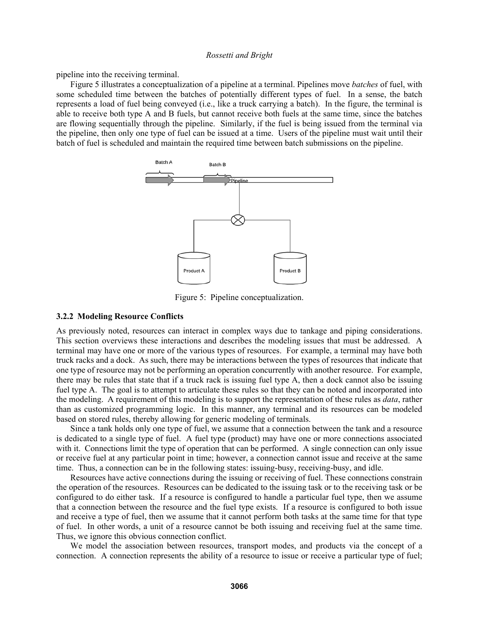pipeline into the receiving terminal.

Figure 5 illustrates a conceptualization of a pipeline at a terminal. Pipelines move *batches* of fuel, with some scheduled time between the batches of potentially different types of fuel. In a sense, the batch represents a load of fuel being conveyed (i.e., like a truck carrying a batch). In the figure, the terminal is able to receive both type A and B fuels, but cannot receive both fuels at the same time, since the batches are flowing sequentially through the pipeline. Similarly, if the fuel is being issued from the terminal via the pipeline, then only one type of fuel can be issued at a time. Users of the pipeline must wait until their batch of fuel is scheduled and maintain the required time between batch submissions on the pipeline.



Figure 5: Pipeline conceptualization.

#### **3.2.2 Modeling Resource Conflicts**

As previously noted, resources can interact in complex ways due to tankage and piping considerations. This section overviews these interactions and describes the modeling issues that must be addressed. A terminal may have one or more of the various types of resources. For example, a terminal may have both truck racks and a dock. As such, there may be interactions between the types of resources that indicate that one type of resource may not be performing an operation concurrently with another resource. For example, there may be rules that state that if a truck rack is issuing fuel type A, then a dock cannot also be issuing fuel type A. The goal is to attempt to articulate these rules so that they can be noted and incorporated into the modeling. A requirement of this modeling is to support the representation of these rules as *data*, rather than as customized programming logic. In this manner, any terminal and its resources can be modeled based on stored rules, thereby allowing for generic modeling of terminals.

Since a tank holds only one type of fuel, we assume that a connection between the tank and a resource is dedicated to a single type of fuel. A fuel type (product) may have one or more connections associated with it. Connections limit the type of operation that can be performed. A single connection can only issue or receive fuel at any particular point in time; however, a connection cannot issue and receive at the same time. Thus, a connection can be in the following states: issuing-busy, receiving-busy, and idle.

Resources have active connections during the issuing or receiving of fuel. These connections constrain the operation of the resources. Resources can be dedicated to the issuing task or to the receiving task or be configured to do either task. If a resource is configured to handle a particular fuel type, then we assume that a connection between the resource and the fuel type exists. If a resource is configured to both issue and receive a type of fuel, then we assume that it cannot perform both tasks at the same time for that type of fuel. In other words, a unit of a resource cannot be both issuing and receiving fuel at the same time. Thus, we ignore this obvious connection conflict.

We model the association between resources, transport modes, and products via the concept of a connection. A connection represents the ability of a resource to issue or receive a particular type of fuel;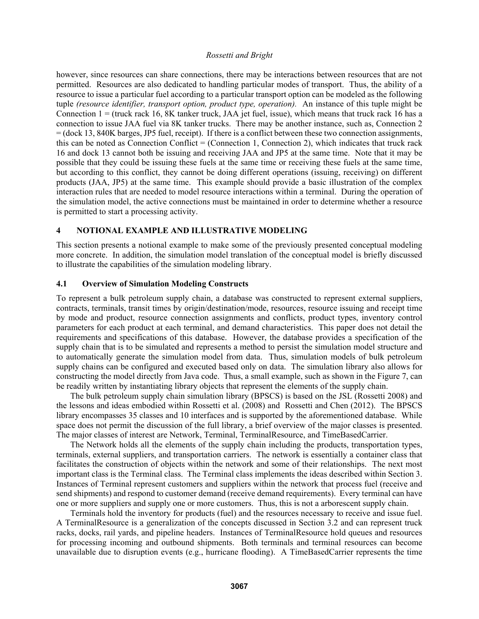however, since resources can share connections, there may be interactions between resources that are not permitted. Resources are also dedicated to handling particular modes of transport. Thus, the ability of a resource to issue a particular fuel according to a particular transport option can be modeled as the following tuple *(resource identifier, transport option, product type, operation).* An instance of this tuple might be Connection  $1 =$  (truck rack 16, 8K tanker truck, JAA jet fuel, issue), which means that truck rack 16 has a connection to issue JAA fuel via 8K tanker trucks. There may be another instance, such as, Connection 2 = (dock 13, 840K barges, JP5 fuel, receipt). If there is a conflict between these two connection assignments, this can be noted as Connection Conflict = (Connection 1, Connection 2), which indicates that truck rack 16 and dock 13 cannot both be issuing and receiving JAA and JP5 at the same time. Note that it may be possible that they could be issuing these fuels at the same time or receiving these fuels at the same time, but according to this conflict, they cannot be doing different operations (issuing, receiving) on different products (JAA, JP5) at the same time. This example should provide a basic illustration of the complex interaction rules that are needed to model resource interactions within a terminal. During the operation of the simulation model, the active connections must be maintained in order to determine whether a resource is permitted to start a processing activity.

## **4 NOTIONAL EXAMPLE AND ILLUSTRATIVE MODELING**

This section presents a notional example to make some of the previously presented conceptual modeling more concrete. In addition, the simulation model translation of the conceptual model is briefly discussed to illustrate the capabilities of the simulation modeling library.

## **4.1 Overview of Simulation Modeling Constructs**

To represent a bulk petroleum supply chain, a database was constructed to represent external suppliers, contracts, terminals, transit times by origin/destination/mode, resources, resource issuing and receipt time by mode and product, resource connection assignments and conflicts, product types, inventory control parameters for each product at each terminal, and demand characteristics. This paper does not detail the requirements and specifications of this database. However, the database provides a specification of the supply chain that is to be simulated and represents a method to persist the simulation model structure and to automatically generate the simulation model from data. Thus, simulation models of bulk petroleum supply chains can be configured and executed based only on data. The simulation library also allows for constructing the model directly from Java code. Thus, a small example, such as shown in the Figure 7, can be readily written by instantiating library objects that represent the elements of the supply chain.

The bulk petroleum supply chain simulation library (BPSCS) is based on the JSL (Rossetti 2008) and the lessons and ideas embodied within Rossetti et al. (2008) and Rossetti and Chen (2012). The BPSCS library encompasses 35 classes and 10 interfaces and is supported by the aforementioned database. While space does not permit the discussion of the full library, a brief overview of the major classes is presented. The major classes of interest are Network, Terminal, TerminalResource, and TimeBasedCarrier.

The Network holds all the elements of the supply chain including the products, transportation types, terminals, external suppliers, and transportation carriers. The network is essentially a container class that facilitates the construction of objects within the network and some of their relationships. The next most important class is the Terminal class. The Terminal class implements the ideas described within Section 3. Instances of Terminal represent customers and suppliers within the network that process fuel (receive and send shipments) and respond to customer demand (receive demand requirements). Every terminal can have one or more suppliers and supply one or more customers. Thus, this is not a arborescent supply chain.

Terminals hold the inventory for products (fuel) and the resources necessary to receive and issue fuel. A TerminalResource is a generalization of the concepts discussed in Section 3.2 and can represent truck racks, docks, rail yards, and pipeline headers. Instances of TerminalResource hold queues and resources for processing incoming and outbound shipments. Both terminals and terminal resources can become unavailable due to disruption events (e.g., hurricane flooding). A TimeBasedCarrier represents the time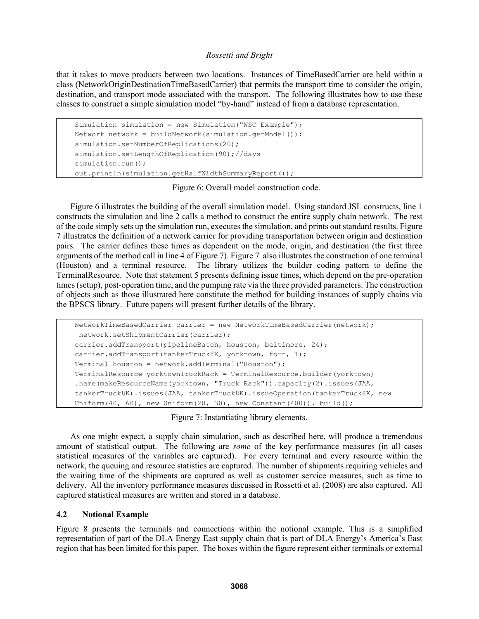that it takes to move products between two locations. Instances of TimeBasedCarrier are held within a class (NetworkOriginDestinationTimeBasedCarrier) that permits the transport time to consider the origin, destination, and transport mode associated with the transport. The following illustrates how to use these classes to construct a simple simulation model "by-hand" instead of from a database representation.

```
Simulation simulation = new Simulation("WSC Example"); 
Network network = buildNetwork(simulation.getModel());
simulation.setNumberOfReplications(20);
simulation.setLengthOfReplication(90);//days 
simulation.run();
out.println(simulation.getHalfWidthSummaryReport());
```
Figure 6: Overall model construction code.

Figure 6 illustrates the building of the overall simulation model. Using standard JSL constructs, line 1 constructs the simulation and line 2 calls a method to construct the entire supply chain network. The rest of the code simply sets up the simulation run, executes the simulation, and prints out standard results. Figure 7 illustrates the definition of a network carrier for providing transportation between origin and destination pairs. The carrier defines these times as dependent on the mode, origin, and destination (the first three arguments of the method call in line 4 of Figure 7). Figure 7 also illustrates the construction of one terminal (Houston) and a terminal resource. The library utilizes the builder coding pattern to define the TerminalResource. Note that statement 5 presents defining issue times, which depend on the pre-operation times (setup), post-operation time, and the pumping rate via the three provided parameters. The construction of objects such as those illustrated here constitute the method for building instances of supply chains via the BPSCS library. Future papers will present further details of the library.

```
NetworkTimeBasedCarrier carrier = new NetworkTimeBasedCarrier(network); 
 network.setShipmentCarrier(carrier); 
carrier.addTransport(pipelineBatch, houston, baltimore, 24); 
carrier.addTransport(tankerTruck8K, yorktown, fort, 1);
Terminal houston = network.addTerminal("Houston");TerminalResource yorktownTruckRack = TerminalResource.builder(yorktown) 
.name(makeResourceName(yorktown, "Truck Rack")).capacity(2).issues(JAA, 
tankerTruck8K).issues(JAA, tankerTruck8K).issueOperation(tankerTruck8K, new 
Uniform(40, 60), new Uniform(20, 30), new Constant(400)). build();
```
Figure 7: Instantiating library elements.

As one might expect, a supply chain simulation, such as described here, will produce a tremendous amount of statistical output. The following are *some* of the key performance measures (in all cases statistical measures of the variables are captured). For every terminal and every resource within the network, the queuing and resource statistics are captured. The number of shipments requiring vehicles and the waiting time of the shipments are captured as well as customer service measures, such as time to delivery. All the inventory performance measures discussed in Rossetti et al. (2008) are also captured. All captured statistical measures are written and stored in a database.

## **4.2 Notional Example**

Figure 8 presents the terminals and connections within the notional example. This is a simplified representation of part of the DLA Energy East supply chain that is part of DLA Energy's America's East region that has been limited for this paper. The boxes within the figure represent either terminals or external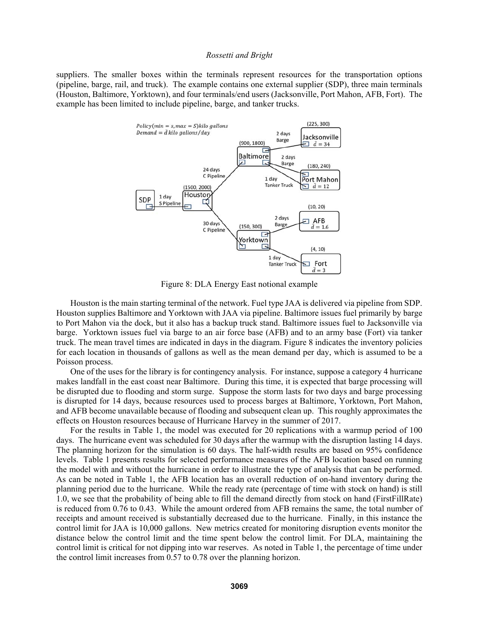suppliers. The smaller boxes within the terminals represent resources for the transportation options (pipeline, barge, rail, and truck). The example contains one external supplier (SDP), three main terminals (Houston, Baltimore, Yorktown), and four terminals/end users (Jacksonville, Port Mahon, AFB, Fort). The example has been limited to include pipeline, barge, and tanker trucks.



Figure 8: DLA Energy East notional example

Houston is the main starting terminal of the network. Fuel type JAA is delivered via pipeline from SDP. Houston supplies Baltimore and Yorktown with JAA via pipeline. Baltimore issues fuel primarily by barge to Port Mahon via the dock, but it also has a backup truck stand. Baltimore issues fuel to Jacksonville via barge. Yorktown issues fuel via barge to an air force base (AFB) and to an army base (Fort) via tanker truck. The mean travel times are indicated in days in the diagram. Figure 8 indicates the inventory policies for each location in thousands of gallons as well as the mean demand per day, which is assumed to be a Poisson process.

One of the uses for the library is for contingency analysis. For instance, suppose a category 4 hurricane makes landfall in the east coast near Baltimore. During this time, it is expected that barge processing will be disrupted due to flooding and storm surge. Suppose the storm lasts for two days and barge processing is disrupted for 14 days, because resources used to process barges at Baltimore, Yorktown, Port Mahon, and AFB become unavailable because of flooding and subsequent clean up. This roughly approximates the effects on Houston resources because of Hurricane Harvey in the summer of 2017.

For the results in Table 1, the model was executed for 20 replications with a warmup period of 100 days. The hurricane event was scheduled for 30 days after the warmup with the disruption lasting 14 days. The planning horizon for the simulation is 60 days. The half-width results are based on 95% confidence levels. Table 1 presents results for selected performance measures of the AFB location based on running the model with and without the hurricane in order to illustrate the type of analysis that can be performed. As can be noted in Table 1, the AFB location has an overall reduction of on-hand inventory during the planning period due to the hurricane. While the ready rate (percentage of time with stock on hand) is still 1.0, we see that the probability of being able to fill the demand directly from stock on hand (FirstFillRate) is reduced from 0.76 to 0.43. While the amount ordered from AFB remains the same, the total number of receipts and amount received is substantially decreased due to the hurricane. Finally, in this instance the control limit for JAA is 10,000 gallons. New metrics created for monitoring disruption events monitor the distance below the control limit and the time spent below the control limit. For DLA, maintaining the control limit is critical for not dipping into war reserves. As noted in Table 1, the percentage of time under the control limit increases from 0.57 to 0.78 over the planning horizon.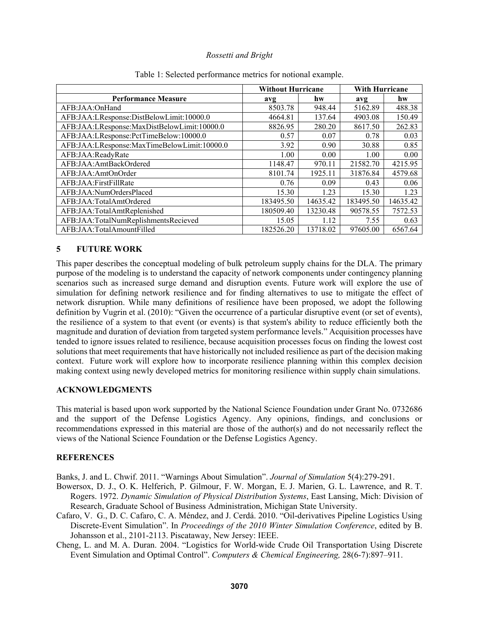|                                             | <b>Without Hurricane</b> |          | <b>With Hurricane</b> |          |
|---------------------------------------------|--------------------------|----------|-----------------------|----------|
| <b>Performance Measure</b>                  | avg                      | hw       | avg                   | hw       |
| AFB:JAA:OnHand                              | 8503.78                  | 948.44   | 5162.89               | 488.38   |
| AFB:JAA:LResponse:DistBelowLimit:10000.0    | 4664.81                  | 137.64   | 4903.08               | 150.49   |
| AFB:JAA:LResponse:MaxDistBelowLimit:10000.0 | 8826.95                  | 280.20   | 8617.50               | 262.83   |
| AFB:JAA:LResponse:PctTimeBelow:10000.0      | 0.57                     | 0.07     | 0.78                  | 0.03     |
| AFB:JAA:LResponse:MaxTimeBelowLimit:10000.0 | 3.92                     | 0.90     | 30.88                 | 0.85     |
| AFB:JAA:ReadyRate                           | 1.00                     | 0.00     | 1.00                  | 0.00     |
| AFB:JAA:AmtBackOrdered                      | 1148.47                  | 970.11   | 21582.70              | 4215.95  |
| AFB:JAA:AmtOnOrder                          | 8101.74                  | 1925.11  | 31876.84              | 4579.68  |
| AFB:JAA:FirstFillRate                       | 0.76                     | 0.09     | 0.43                  | 0.06     |
| AFB:JAA:NumOrdersPlaced                     | 15.30                    | 1.23     | 15.30                 | 1.23     |
| AFB:JAA:TotalAmtOrdered                     | 183495.50                | 14635.42 | 183495.50             | 14635.42 |
| AFB:JAA:TotalAmtReplenished                 | 180509.40                | 13230.48 | 90578.55              | 7572.53  |
| AFB:JAA:TotalNumReplishmentsRecieved        | 15.05                    | 1.12     | 7.55                  | 0.63     |
| AFB:JAA:TotalAmountFilled                   | 182526.20                | 13718.02 | 97605.00              | 6567.64  |

## Table 1: Selected performance metrics for notional example.

# **5 FUTURE WORK**

This paper describes the conceptual modeling of bulk petroleum supply chains for the DLA. The primary purpose of the modeling is to understand the capacity of network components under contingency planning scenarios such as increased surge demand and disruption events. Future work will explore the use of simulation for defining network resilience and for finding alternatives to use to mitigate the effect of network disruption. While many definitions of resilience have been proposed, we adopt the following definition by Vugrin et al. (2010): "Given the occurrence of a particular disruptive event (or set of events), the resilience of a system to that event (or events) is that system's ability to reduce efficiently both the magnitude and duration of deviation from targeted system performance levels." Acquisition processes have tended to ignore issues related to resilience, because acquisition processes focus on finding the lowest cost solutions that meet requirements that have historically not included resilience as part of the decision making context. Future work will explore how to incorporate resilience planning within this complex decision making context using newly developed metrics for monitoring resilience within supply chain simulations.

## **ACKNOWLEDGMENTS**

This material is based upon work supported by the National Science Foundation under Grant No. 0732686 and the support of the Defense Logistics Agency. Any opinions, findings, and conclusions or recommendations expressed in this material are those of the author(s) and do not necessarily reflect the views of the National Science Foundation or the Defense Logistics Agency.

# **REFERENCES**

Banks, J. and L. Chwif. 2011. "Warnings About Simulation". *Journal of Simulation* 5(4):279-291.

- Bowersox, D. J., O. K. Helferich, P. Gilmour, F. W. Morgan, E. J. Marien, G. L. Lawrence, and R. T. Rogers. 1972. *Dynamic Simulation of Physical Distribution Systems*, East Lansing, Mich: Division of Research, Graduate School of Business Administration, Michigan State University.
- Cafaro, V. G., D. C. Cafaro, C. A. Méndez, and J. Cerdá. 2010. "Oil-derivatives Pipeline Logistics Using Discrete-Event Simulation". In *Proceedings of the 2010 Winter Simulation Conference*, edited by B. Johansson et al., 2101-2113. Piscataway, New Jersey: IEEE.
- Cheng, L. and M. A. Duran. 2004. "Logistics for World-wide Crude Oil Transportation Using Discrete Event Simulation and Optimal Control". *Computers & Chemical Engineering,* 28(6-7):897–911.